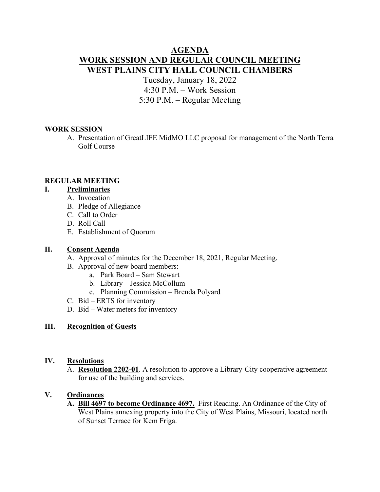# **AGENDA WORK SESSION AND REGULAR COUNCIL MEETING WEST PLAINS CITY HALL COUNCIL CHAMBERS**

Tuesday, January 18, 2022 4:30 P.M. – Work Session 5:30 P.M. – Regular Meeting

#### **WORK SESSION**

A. Presentation of GreatLIFE MidMO LLC proposal for management of the North Terra Golf Course

#### **REGULAR MEETING**

### **I. Preliminaries**

- A. Invocation
- B. Pledge of Allegiance
- C. Call to Order
- D. Roll Call
- E. Establishment of Quorum

#### **II. Consent Agenda**

- A. Approval of minutes for the December 18, 2021, Regular Meeting.
- B. Approval of new board members:
	- a. Park Board Sam Stewart
	- b. Library Jessica McCollum
	- c. Planning Commission Brenda Polyard
- C. Bid ERTS for inventory
- D. Bid Water meters for inventory

### **III. Recognition of Guests**

#### **IV. Resolutions**

A. **Resolution 2202-01**. A resolution to approve a Library-City cooperative agreement for use of the building and services.

## **V. Ordinances**

**A. Bill 4697 to become Ordinance 4697.** First Reading. An Ordinance of the City of West Plains annexing property into the City of West Plains, Missouri, located north of Sunset Terrace for Kem Friga.